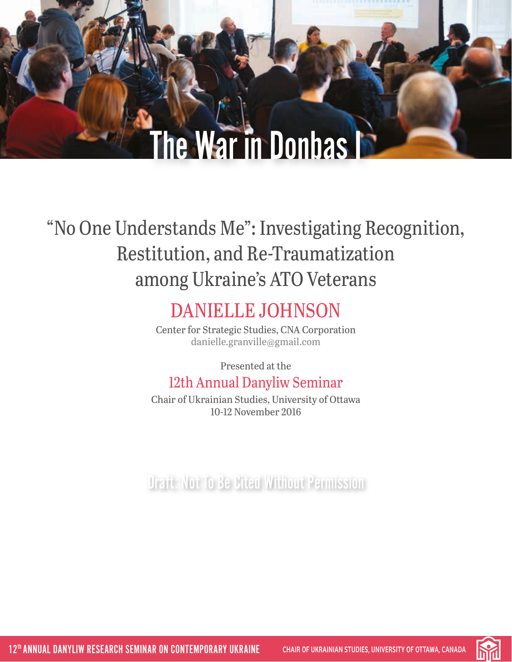# The War in Donbas I

# "No One Understands Me": Investigating Recognition, Restitution, and Re-Traumatization among Ukraine's ATO Veterans

# DANIELLE JOHNSON

Center for Strategic Studies, CNA Corporation [danielle.granville@gmail.com](mailto:danielle.granville%40gmail.com?subject=)

Presented at the

# 12th Annual Danyliw Seminar

Chair of Ukrainian Studies, University of Ottawa 10-12 November 2016

Draft: Not To Be Cited Without Permission

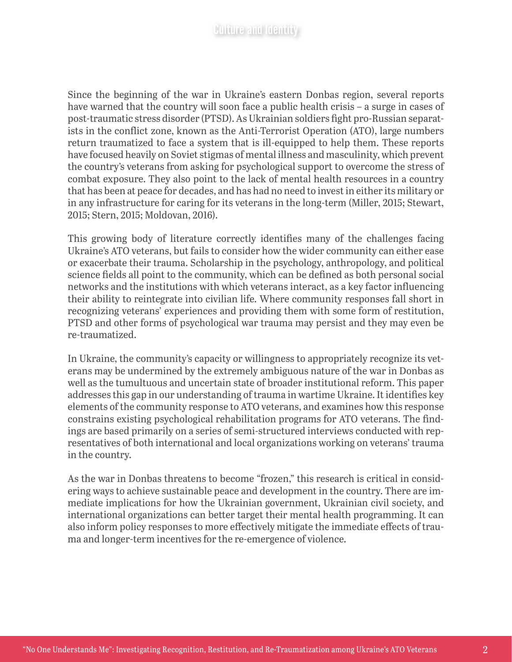Since the beginning of the war in Ukraine's eastern Donbas region, several reports have warned that the country will soon face a public health crisis – a surge in cases of post-traumatic stress disorder (PTSD). As Ukrainian soldiers fight pro-Russian separatists in the conflict zone, known as the Anti-Terrorist Operation (ATO), large numbers return traumatized to face a system that is ill-equipped to help them. These reports have focused heavily on Soviet stigmas of mental illness and masculinity, which prevent the country's veterans from asking for psychological support to overcome the stress of combat exposure. They also point to the lack of mental health resources in a country that has been at peace for decades, and has had no need to invest in either its military or in any infrastructure for caring for its veterans in the long-term (Miller, 2015; Stewart, 2015; Stern, 2015; Moldovan, 2016).

This growing body of literature correctly identifies many of the challenges facing Ukraine's ATO veterans, but fails to consider how the wider community can either ease or exacerbate their trauma. Scholarship in the psychology, anthropology, and political science fields all point to the community, which can be defined as both personal social networks and the institutions with which veterans interact, as a key factor influencing their ability to reintegrate into civilian life. Where community responses fall short in recognizing veterans' experiences and providing them with some form of restitution, PTSD and other forms of psychological war trauma may persist and they may even be re-traumatized.

In Ukraine, the community's capacity or willingness to appropriately recognize its veterans may be undermined by the extremely ambiguous nature of the war in Donbas as well as the tumultuous and uncertain state of broader institutional reform. This paper addresses this gap in our understanding of trauma in wartime Ukraine. It identifies key elements of the community response to ATO veterans, and examines how this response constrains existing psychological rehabilitation programs for ATO veterans. The findings are based primarily on a series of semi-structured interviews conducted with representatives of both international and local organizations working on veterans' trauma in the country.

As the war in Donbas threatens to become "frozen," this research is critical in considering ways to achieve sustainable peace and development in the country. There are immediate implications for how the Ukrainian government, Ukrainian civil society, and international organizations can better target their mental health programming. It can also inform policy responses to more effectively mitigate the immediate effects of trauma and longer-term incentives for the re-emergence of violence.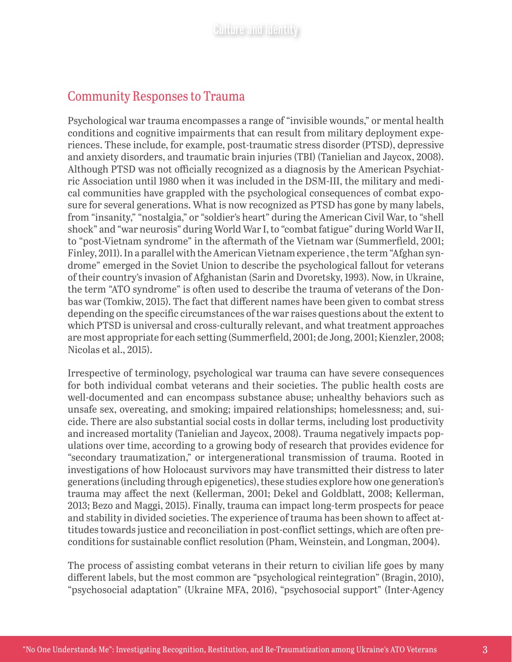# Community Responses to Trauma

Psychological war trauma encompasses a range of "invisible wounds," or mental health conditions and cognitive impairments that can result from military deployment experiences. These include, for example, post-traumatic stress disorder (PTSD), depressive and anxiety disorders, and traumatic brain injuries (TBI) (Tanielian and Jaycox, 2008). Although PTSD was not officially recognized as a diagnosis by the American Psychiatric Association until 1980 when it was included in the DSM-III, the military and medical communities have grappled with the psychological consequences of combat exposure for several generations. What is now recognized as PTSD has gone by many labels, from "insanity," "nostalgia," or "soldier's heart" during the American Civil War, to "shell shock" and "war neurosis" during World War I, to "combat fatigue" during World War II, to "post-Vietnam syndrome" in the aftermath of the Vietnam war (Summerfield, 2001; Finley, 2011). In a parallel with the American Vietnam experience , the term "Afghan syndrome" emerged in the Soviet Union to describe the psychological fallout for veterans of their country's invasion of Afghanistan (Sarin and Dvoretsky, 1993). Now, in Ukraine, the term "ATO syndrome" is often used to describe the trauma of veterans of the Donbas war (Tomkiw, 2015). The fact that different names have been given to combat stress depending on the specific circumstances of the war raises questions about the extent to which PTSD is universal and cross-culturally relevant, and what treatment approaches are most appropriate for each setting (Summerfield, 2001; de Jong, 2001; Kienzler, 2008; Nicolas et al., 2015).

Irrespective of terminology, psychological war trauma can have severe consequences for both individual combat veterans and their societies. The public health costs are well-documented and can encompass substance abuse; unhealthy behaviors such as unsafe sex, overeating, and smoking; impaired relationships; homelessness; and, suicide. There are also substantial social costs in dollar terms, including lost productivity and increased mortality (Tanielian and Jaycox, 2008). Trauma negatively impacts populations over time, according to a growing body of research that provides evidence for "secondary traumatization," or intergenerational transmission of trauma. Rooted in investigations of how Holocaust survivors may have transmitted their distress to later generations (including through epigenetics), these studies explore how one generation's trauma may affect the next (Kellerman, 2001; Dekel and Goldblatt, 2008; Kellerman, 2013; Bezo and Maggi, 2015). Finally, trauma can impact long-term prospects for peace and stability in divided societies. The experience of trauma has been shown to affect attitudes towards justice and reconciliation in post-conflict settings, which are often preconditions for sustainable conflict resolution (Pham, Weinstein, and Longman, 2004).

The process of assisting combat veterans in their return to civilian life goes by many different labels, but the most common are "psychological reintegration" (Bragin, 2010), "psychosocial adaptation" (Ukraine MFA, 2016), "psychosocial support" (Inter-Agency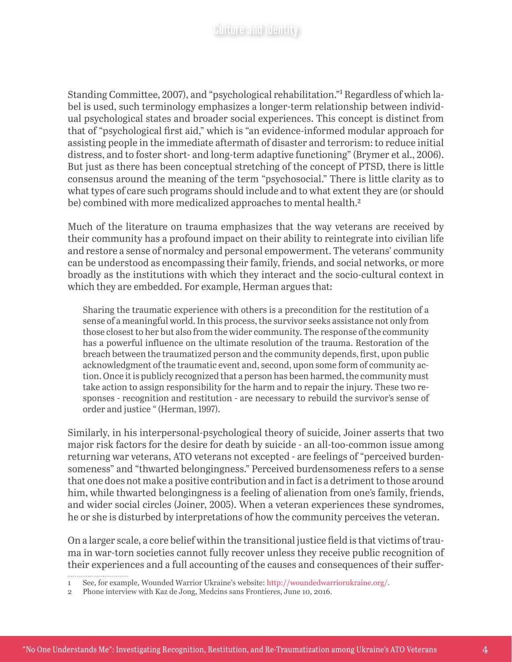Standing Committee, 2007), and "psychological rehabilitation."1 Regardless of which label is used, such terminology emphasizes a longer-term relationship between individual psychological states and broader social experiences. This concept is distinct from that of "psychological first aid," which is "an evidence-informed modular approach for assisting people in the immediate aftermath of disaster and terrorism: to reduce initial distress, and to foster short- and long-term adaptive functioning" (Brymer et al., 2006). But just as there has been conceptual stretching of the concept of PTSD, there is little consensus around the meaning of the term "psychosocial." There is little clarity as to what types of care such programs should include and to what extent they are (or should be) combined with more medicalized approaches to mental health.<sup>2</sup>

Much of the literature on trauma emphasizes that the way veterans are received by their community has a profound impact on their ability to reintegrate into civilian life and restore a sense of normalcy and personal empowerment. The veterans' community can be understood as encompassing their family, friends, and social networks, or more broadly as the institutions with which they interact and the socio-cultural context in which they are embedded. For example, Herman argues that:

Sharing the traumatic experience with others is a precondition for the restitution of a sense of a meaningful world. In this process, the survivor seeks assistance not only from those closest to her but also from the wider community. The response of the community has a powerful influence on the ultimate resolution of the trauma. Restoration of the breach between the traumatized person and the community depends, first, upon public acknowledgment of the traumatic event and, second, upon some form of community action. Once it is publicly recognized that a person has been harmed, the community must take action to assign responsibility for the harm and to repair the injury. These two responses - recognition and restitution - are necessary to rebuild the survivor's sense of order and justice " (Herman, 1997).

Similarly, in his interpersonal-psychological theory of suicide, Joiner asserts that two major risk factors for the desire for death by suicide - an all-too-common issue among returning war veterans, ATO veterans not excepted - are feelings of "perceived burdensomeness" and "thwarted belongingness." Perceived burdensomeness refers to a sense that one does not make a positive contribution and in fact is a detriment to those around him, while thwarted belongingness is a feeling of alienation from one's family, friends, and wider social circles (Joiner, 2005). When a veteran experiences these syndromes, he or she is disturbed by interpretations of how the community perceives the veteran.

On a larger scale, a core belief within the transitional justice field is that victims of trauma in war-torn societies cannot fully recover unless they receive public recognition of their experiences and a full accounting of the causes and consequences of their suffer-

<sup>1</sup> See, for example, Wounded Warrior Ukraine's website: http://woundedwarriorukraine.org/.

<sup>2</sup> Phone interview with Kaz de Jong, Medcins sans Frontieres, June 10, 2016.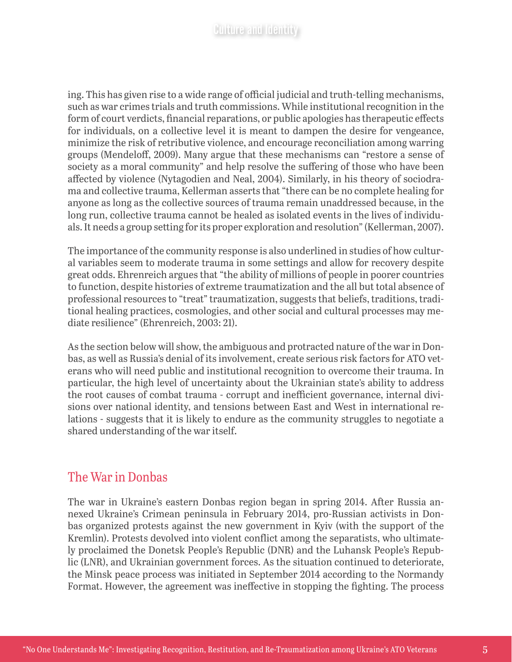ing. This has given rise to a wide range of official judicial and truth-telling mechanisms, such as war crimes trials and truth commissions. While institutional recognition in the form of court verdicts, financial reparations, or public apologies has therapeutic effects for individuals, on a collective level it is meant to dampen the desire for vengeance, minimize the risk of retributive violence, and encourage reconciliation among warring groups (Mendeloff, 2009). Many argue that these mechanisms can "restore a sense of society as a moral community" and help resolve the suffering of those who have been affected by violence (Nytagodien and Neal, 2004). Similarly, in his theory of sociodrama and collective trauma, Kellerman asserts that "there can be no complete healing for anyone as long as the collective sources of trauma remain unaddressed because, in the long run, collective trauma cannot be healed as isolated events in the lives of individuals. It needs a group setting for its proper exploration and resolution" (Kellerman, 2007).

The importance of the community response is also underlined in studies of how cultural variables seem to moderate trauma in some settings and allow for recovery despite great odds. Ehrenreich argues that "the ability of millions of people in poorer countries to function, despite histories of extreme traumatization and the all but total absence of professional resources to "treat" traumatization, suggests that beliefs, traditions, traditional healing practices, cosmologies, and other social and cultural processes may mediate resilience" (Ehrenreich, 2003: 21).

As the section below will show, the ambiguous and protracted nature of the war in Donbas, as well as Russia's denial of its involvement, create serious risk factors for ATO veterans who will need public and institutional recognition to overcome their trauma. In particular, the high level of uncertainty about the Ukrainian state's ability to address the root causes of combat trauma - corrupt and inefficient governance, internal divisions over national identity, and tensions between East and West in international relations - suggests that it is likely to endure as the community struggles to negotiate a shared understanding of the war itself.

## The War in Donbas

The war in Ukraine's eastern Donbas region began in spring 2014. After Russia annexed Ukraine's Crimean peninsula in February 2014, pro-Russian activists in Donbas organized protests against the new government in Kyiv (with the support of the Kremlin). Protests devolved into violent conflict among the separatists, who ultimately proclaimed the Donetsk People's Republic (DNR) and the Luhansk People's Republic (LNR), and Ukrainian government forces. As the situation continued to deteriorate, the Minsk peace process was initiated in September 2014 according to the Normandy Format. However, the agreement was ineffective in stopping the fighting. The process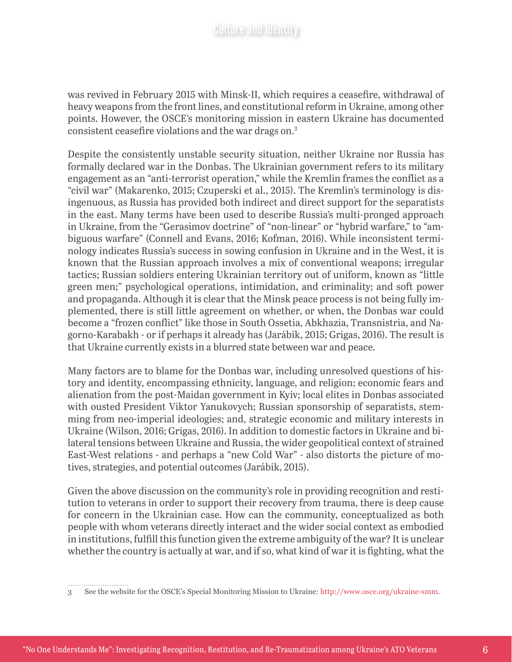was revived in February 2015 with Minsk-II, which requires a ceasefire, withdrawal of heavy weapons from the front lines, and constitutional reform in Ukraine, among other points. However, the OSCE's monitoring mission in eastern Ukraine has documented consistent ceasefire violations and the war drags on.3

Despite the consistently unstable security situation, neither Ukraine nor Russia has formally declared war in the Donbas. The Ukrainian government refers to its military engagement as an "anti-terrorist operation," while the Kremlin frames the conflict as a "civil war" (Makarenko, 2015; Czuperski et al., 2015). The Kremlin's terminology is disingenuous, as Russia has provided both indirect and direct support for the separatists in the east. Many terms have been used to describe Russia's multi-pronged approach in Ukraine, from the "Gerasimov doctrine" of "non-linear" or "hybrid warfare," to "ambiguous warfare" (Connell and Evans, 2016; Kofman, 2016). While inconsistent terminology indicates Russia's success in sowing confusion in Ukraine and in the West, it is known that the Russian approach involves a mix of conventional weapons; irregular tactics; Russian soldiers entering Ukrainian territory out of uniform, known as "little green men;" psychological operations, intimidation, and criminality; and soft power and propaganda. Although it is clear that the Minsk peace process is not being fully implemented, there is still little agreement on whether, or when, the Donbas war could become a "frozen conflict" like those in South Ossetia, Abkhazia, Transnistria, and Nagorno-Karabakh - or if perhaps it already has (Jarábik, 2015; Grigas, 2016). The result is that Ukraine currently exists in a blurred state between war and peace.

Many factors are to blame for the Donbas war, including unresolved questions of history and identity, encompassing ethnicity, language, and religion; economic fears and alienation from the post-Maidan government in Kyiv; local elites in Donbas associated with ousted President Viktor Yanukovych; Russian sponsorship of separatists, stemming from neo-imperial ideologies; and, strategic economic and military interests in Ukraine (Wilson, 2016; Grigas, 2016). In addition to domestic factors in Ukraine and bilateral tensions between Ukraine and Russia, the wider geopolitical context of strained East-West relations - and perhaps a "new Cold War" - also distorts the picture of motives, strategies, and potential outcomes [\(Jarábik](http://carnegieendowment.org/experts/?fa=935), 2015).

Given the above discussion on the community's role in providing recognition and restitution to veterans in order to support their recovery from trauma, there is deep cause for concern in the Ukrainian case. How can the community, conceptualized as both people with whom veterans directly interact and the wider social context as embodied in institutions, fulfill this function given the extreme ambiguity of the war? It is unclear whether the country is actually at war, and if so, what kind of war it is fighting, what the

<sup>3</sup> See the website for the OSCE's Special Monitoring Mission to Ukraine: http://www.osce.org/ukraine-smm.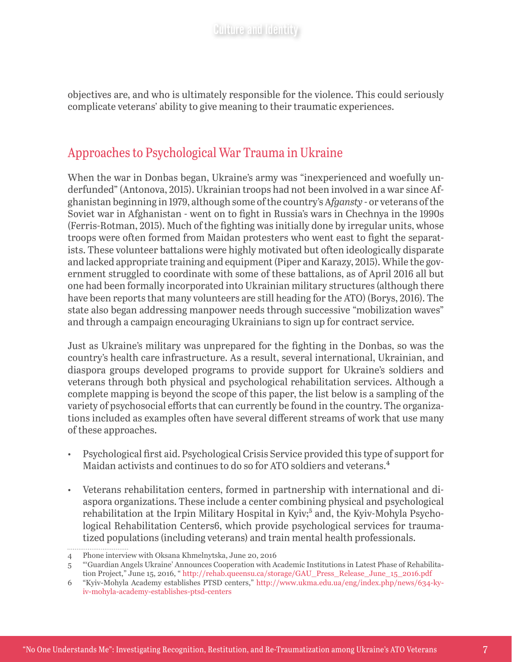objectives are, and who is ultimately responsible for the violence. This could seriously complicate veterans' ability to give meaning to their traumatic experiences.

# Approaches to Psychological War Trauma in Ukraine

When the war in Donbas began, Ukraine's army was "inexperienced and woefully underfunded" (Antonova, 2015). Ukrainian troops had not been involved in a war since Afghanistan beginning in 1979, although some of the country's A*fgansty* - or veterans of the Soviet war in Afghanistan - went on to fight in Russia's wars in Chechnya in the 1990s (Ferris-Rotman, 2015). Much of the fighting was initially done by irregular units, whose troops were often formed from Maidan protesters who went east to fight the separatists. These volunteer battalions were highly motivated but often ideologically disparate and lacked appropriate training and equipment (Piper and Karazy, 2015). While the government struggled to coordinate with some of these battalions, as of April 2016 all but one had been formally incorporated into Ukrainian military structures (although there have been reports that many volunteers are still heading for the ATO) (Borys, 2016). The state also began addressing manpower needs through successive "mobilization waves" and through a campaign encouraging Ukrainians to sign up for contract service.

Just as Ukraine's military was unprepared for the fighting in the Donbas, so was the country's health care infrastructure. As a result, several international, Ukrainian, and diaspora groups developed programs to provide support for Ukraine's soldiers and veterans through both physical and psychological rehabilitation services. Although a complete mapping is beyond the scope of this paper, the list below is a sampling of the variety of psychosocial efforts that can currently be found in the country. The organizations included as examples often have several different streams of work that use many of these approaches.

- Psychological first aid. Psychological Crisis Service provided this type of support for Maidan activists and continues to do so for ATO soldiers and veterans.<sup>4</sup>
- Veterans rehabilitation centers, formed in partnership with international and diaspora organizations. These include a center combining physical and psychological rehabilitation at the Irpin Military Hospital in Kyiv;<sup>5</sup> and, the Kyiv-Mohyla Psychological Rehabilitation Centers6, which provide psychological services for traumatized populations (including veterans) and train mental health professionals.

. . . . . .

<sup>4</sup> Phone interview with Oksana Khmelnytska, June 20, 2016

<sup>5</sup> "'Guardian Angels Ukraine' Announces Cooperation with Academic Institutions in Latest Phase of Rehabilitation Project," June 15, 2016, " http://rehab.queensu.ca/storage/GAU\_Press\_Release\_June\_15\_2016.pdf

<sup>6</sup> "Kyiv-Mohyla Academy establishes PTSD centers," http://www.ukma.edu.ua/eng/index.php/news/634-kyiv-mohyla-academy-establishes-ptsd-centers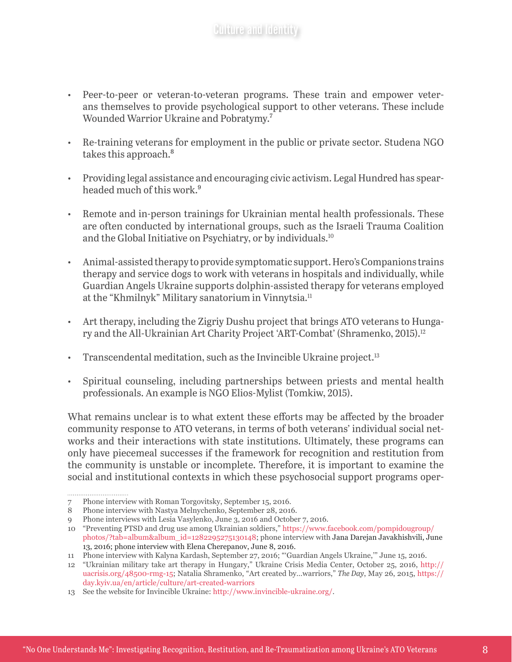- Peer-to-peer or veteran-to-veteran programs. These train and empower veterans themselves to provide psychological support to other veterans. These include Wounded Warrior Ukraine and Pobratymy.7
- Re-training veterans for employment in the public or private sector. Studena NGO takes this approach.<sup>8</sup>
- Providing legal assistance and encouraging civic activism. Legal Hundred has spearheaded much of this work.<sup>9</sup>
- Remote and in-person trainings for Ukrainian mental health professionals. These are often conducted by international groups, such as the Israeli Trauma Coalition and the Global Initiative on Psychiatry, or by individuals.<sup>10</sup>
- Animal-assisted therapy to provide symptomatic support. Hero's Companions trains therapy and service dogs to work with veterans in hospitals and individually, while Guardian Angels Ukraine supports dolphin-assisted therapy for veterans employed at the "Khmilnyk" Military sanatorium in Vinnytsia.<sup>11</sup>
- Art therapy, including the Zigriy Dushu project that brings ATO veterans to Hungary and the All-Ukrainian Art Charity Project 'ART-Combat' (Shramenko, 2015).12
- Transcendental meditation, such as the Invincible Ukraine project. $13$
- Spiritual counseling, including partnerships between priests and mental health professionals. An example is NGO Elios-Mylist (Tomkiw, 2015).

What remains unclear is to what extent these efforts may be affected by the broader community response to ATO veterans, in terms of both veterans' individual social networks and their interactions with state institutions. Ultimately, these programs can only have piecemeal successes if the framework for recognition and restitution from the community is unstable or incomplete. Therefore, it is important to examine the social and institutional contexts in which these psychosocial support programs oper-

<sup>7</sup> Phone interview with Roman Torgovitsky, September 15, 2016.

<sup>8</sup> Phone interview with Nastya Melnychenko, September 28, 2016.

<sup>9</sup> Phone interviews with Lesia Vasylenko, June 3, 2016 and October 7, 2016.

<sup>10</sup> "Preventing PTSD and drug use among Ukrainian soldiers," [https://www.facebook.com/pompidougroup/](https://www.facebook.com/pompidougroup/photos/?tab=album&album_id=1282295275130148) [photos/?tab=album&album\\_id=1282295275130148;](https://www.facebook.com/pompidougroup/photos/?tab=album&album_id=1282295275130148) phone interview with Jana Darejan Javakhishvili, June 13, 2016; phone interview with Elena Cherepanov, June 8, 2016.

<sup>11</sup> Phone interview with Kalyna Kardash, September 27, 2016; "'Guardian Angels Ukraine,'" June 15, 2016.

<sup>12</sup> "Ukrainian military take art therapy in Hungary," Ukraine Crisis Media Center, October 25, 2016, [http://](http://uacrisis.org/48500-rmg-15) [uacrisis.org/48500-rmg-15](http://uacrisis.org/48500-rmg-15); Natalia Shramenko, "Art created by…warriors," *The Day*, May 26, 2015, https:// day.kyiv.ua/en/article/culture/art-created-warriors

<sup>13</sup> See the website for Invincible Ukraine: http://www.invincible-ukraine.org/.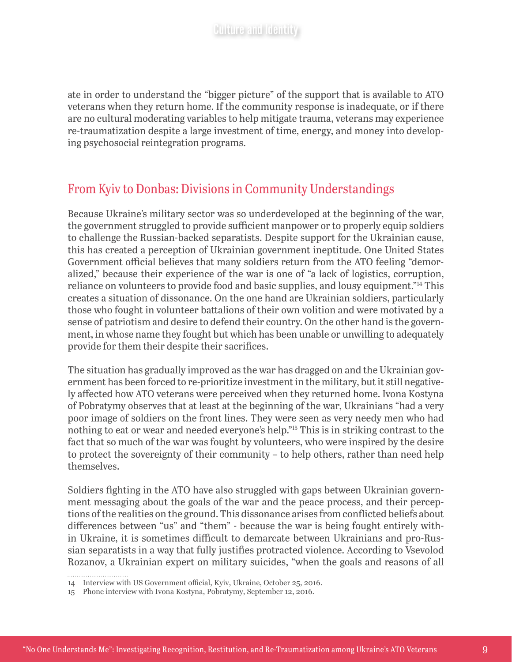ate in order to understand the "bigger picture" of the support that is available to ATO veterans when they return home. If the community response is inadequate, or if there are no cultural moderating variables to help mitigate trauma, veterans may experience re-traumatization despite a large investment of time, energy, and money into developing psychosocial reintegration programs.

# From Kyiv to Donbas: Divisions in Community Understandings

Because Ukraine's military sector was so underdeveloped at the beginning of the war, the government struggled to provide sufficient manpower or to properly equip soldiers to challenge the Russian-backed separatists. Despite support for the Ukrainian cause, this has created a perception of Ukrainian government ineptitude. One United States Government official believes that many soldiers return from the ATO feeling "demoralized," because their experience of the war is one of "a lack of logistics, corruption, reliance on volunteers to provide food and basic supplies, and lousy equipment."14 This creates a situation of dissonance. On the one hand are Ukrainian soldiers, particularly those who fought in volunteer battalions of their own volition and were motivated by a sense of patriotism and desire to defend their country. On the other hand is the government, in whose name they fought but which has been unable or unwilling to adequately provide for them their despite their sacrifices.

The situation has gradually improved as the war has dragged on and the Ukrainian government has been forced to re-prioritize investment in the military, but it still negatively affected how ATO veterans were perceived when they returned home. Ivona Kostyna of Pobratymy observes that at least at the beginning of the war, Ukrainians "had a very poor image of soldiers on the front lines. They were seen as very needy men who had nothing to eat or wear and needed everyone's help."15 This is in striking contrast to the fact that so much of the war was fought by volunteers, who were inspired by the desire to protect the sovereignty of their community – to help others, rather than need help themselves.

Soldiers fighting in the ATO have also struggled with gaps between Ukrainian government messaging about the goals of the war and the peace process, and their perceptions of the realities on the ground. This dissonance arises from conflicted beliefs about differences between "us" and "them" - because the war is being fought entirely within Ukraine, it is sometimes difficult to demarcate between Ukrainians and pro-Russian separatists in a way that fully justifies protracted violence. According to Vsevolod Rozanov, a Ukrainian expert on military suicides, "when the goals and reasons of all

<sup>14</sup> Interview with US Government official, Kyiv, Ukraine, October 25, 2016.

<sup>15</sup> Phone interview with Ivona Kostyna, Pobratymy, September 12, 2016.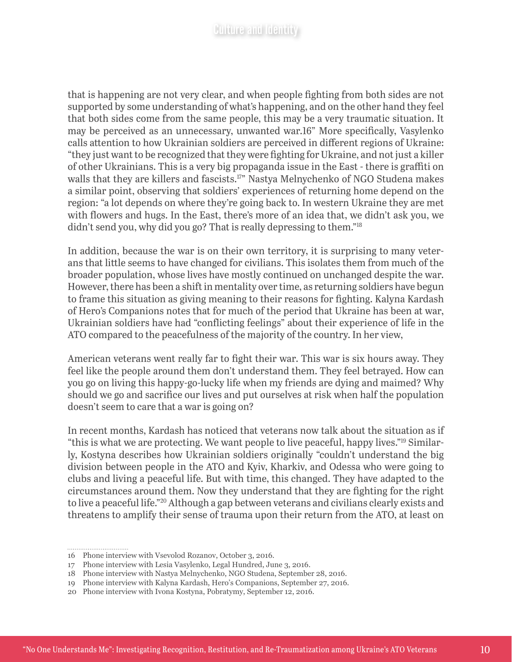that is happening are not very clear, and when people fighting from both sides are not supported by some understanding of what's happening, and on the other hand they feel that both sides come from the same people, this may be a very traumatic situation. It may be perceived as an unnecessary, unwanted war.16" More specifically, Vasylenko calls attention to how Ukrainian soldiers are perceived in different regions of Ukraine: "they just want to be recognized that they were fighting for Ukraine, and not just a killer of other Ukrainians. This is a very big propaganda issue in the East - there is graffiti on walls that they are killers and fascists.<sup>17</sup>" Nastya Melnychenko of NGO Studena makes a similar point, observing that soldiers' experiences of returning home depend on the region: "a lot depends on where they're going back to. In western Ukraine they are met with flowers and hugs. In the East, there's more of an idea that, we didn't ask you, we didn't send you, why did you go? That is really depressing to them."18

In addition, because the war is on their own territory, it is surprising to many veterans that little seems to have changed for civilians. This isolates them from much of the broader population, whose lives have mostly continued on unchanged despite the war. However, there has been a shift in mentality over time, as returning soldiers have begun to frame this situation as giving meaning to their reasons for fighting. Kalyna Kardash of Hero's Companions notes that for much of the period that Ukraine has been at war, Ukrainian soldiers have had "conflicting feelings" about their experience of life in the ATO compared to the peacefulness of the majority of the country. In her view,

American veterans went really far to fight their war. This war is six hours away. They feel like the people around them don't understand them. They feel betrayed. How can you go on living this happy-go-lucky life when my friends are dying and maimed? Why should we go and sacrifice our lives and put ourselves at risk when half the population doesn't seem to care that a war is going on?

In recent months, Kardash has noticed that veterans now talk about the situation as if "this is what we are protecting. We want people to live peaceful, happy lives."19 Similarly, Kostyna describes how Ukrainian soldiers originally "couldn't understand the big division between people in the ATO and Kyiv, Kharkiv, and Odessa who were going to clubs and living a peaceful life. But with time, this changed. They have adapted to the circumstances around them. Now they understand that they are fighting for the right to live a peaceful life."20 Although a gap between veterans and civilians clearly exists and threatens to amplify their sense of trauma upon their return from the ATO, at least on

<sup>16</sup> Phone interview with Vsevolod Rozanov, October 3, 2016.

<sup>17</sup> Phone interview with Lesia Vasylenko, Legal Hundred, June 3, 2016.

<sup>18</sup> Phone interview with Nastya Melnychenko, NGO Studena, September 28, 2016.

<sup>19</sup> Phone interview with Kalyna Kardash, Hero's Companions, September 27, 2016.

<sup>20</sup> Phone interview with Ivona Kostyna, Pobratymy, September 12, 2016.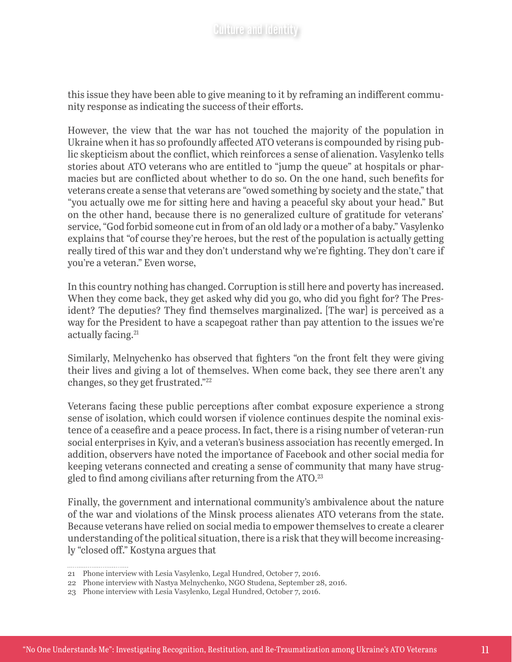this issue they have been able to give meaning to it by reframing an indifferent community response as indicating the success of their efforts.

However, the view that the war has not touched the majority of the population in Ukraine when it has so profoundly affected ATO veterans is compounded by rising public skepticism about the conflict, which reinforces a sense of alienation. Vasylenko tells stories about ATO veterans who are entitled to "jump the queue" at hospitals or pharmacies but are conflicted about whether to do so. On the one hand, such benefits for veterans create a sense that veterans are "owed something by society and the state," that "you actually owe me for sitting here and having a peaceful sky about your head." But on the other hand, because there is no generalized culture of gratitude for veterans' service, "God forbid someone cut in from of an old lady or a mother of a baby." Vasylenko explains that "of course they're heroes, but the rest of the population is actually getting really tired of this war and they don't understand why we're fighting. They don't care if you're a veteran." Even worse,

In this country nothing has changed. Corruption is still here and poverty has increased. When they come back, they get asked why did you go, who did you fight for? The President? The deputies? They find themselves marginalized. [The war] is perceived as a way for the President to have a scapegoat rather than pay attention to the issues we're actually facing.<sup>21</sup>

Similarly, Melnychenko has observed that fighters "on the front felt they were giving their lives and giving a lot of themselves. When come back, they see there aren't any changes, so they get frustrated."22

Veterans facing these public perceptions after combat exposure experience a strong sense of isolation, which could worsen if violence continues despite the nominal existence of a ceasefire and a peace process. In fact, there is a rising number of veteran-run social enterprises in Kyiv, and a veteran's business association has recently emerged. In addition, observers have noted the importance of Facebook and other social media for keeping veterans connected and creating a sense of community that many have struggled to find among civilians after returning from the ATO.<sup>23</sup>

Finally, the government and international community's ambivalence about the nature of the war and violations of the Minsk process alienates ATO veterans from the state. Because veterans have relied on social media to empower themselves to create a clearer understanding of the political situation, there is a risk that they will become increasingly "closed off." Kostyna argues that

<sup>21</sup> Phone interview with Lesia Vasylenko, Legal Hundred, October 7, 2016.

<sup>22</sup> Phone interview with Nastya Melnychenko, NGO Studena, September 28, 2016.

<sup>23</sup> Phone interview with Lesia Vasylenko, Legal Hundred, October 7, 2016.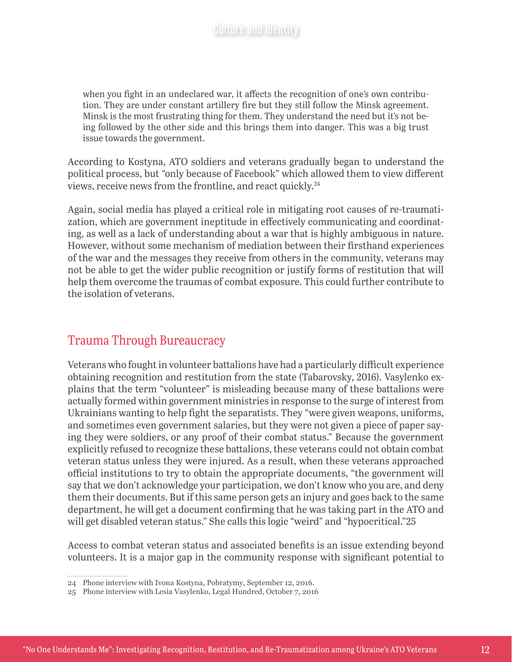when you fight in an undeclared war, it affects the recognition of one's own contribution. They are under constant artillery fire but they still follow the Minsk agreement. Minsk is the most frustrating thing for them. They understand the need but it's not being followed by the other side and this brings them into danger. This was a big trust issue towards the government.

According to Kostyna, ATO soldiers and veterans gradually began to understand the political process, but "only because of Facebook" which allowed them to view different views, receive news from the frontline, and react quickly.24

Again, social media has played a critical role in mitigating root causes of re-traumatization, which are government ineptitude in effectively communicating and coordinating, as well as a lack of understanding about a war that is highly ambiguous in nature. However, without some mechanism of mediation between their firsthand experiences of the war and the messages they receive from others in the community, veterans may not be able to get the wider public recognition or justify forms of restitution that will help them overcome the traumas of combat exposure. This could further contribute to the isolation of veterans.

# Trauma Through Bureaucracy

Veterans who fought in volunteer battalions have had a particularly difficult experience obtaining recognition and restitution from the state (Tabarovsky, 2016). Vasylenko explains that the term "volunteer" is misleading because many of these battalions were actually formed within government ministries in response to the surge of interest from Ukrainians wanting to help fight the separatists. They "were given weapons, uniforms, and sometimes even government salaries, but they were not given a piece of paper saying they were soldiers, or any proof of their combat status." Because the government explicitly refused to recognize these battalions, these veterans could not obtain combat veteran status unless they were injured. As a result, when these veterans approached official institutions to try to obtain the appropriate documents, "the government will say that we don't acknowledge your participation, we don't know who you are, and deny them their documents. But if this same person gets an injury and goes back to the same department, he will get a document confirming that he was taking part in the ATO and will get disabled veteran status." She calls this logic "weird" and "hypocritical."25

Access to combat veteran status and associated benefits is an issue extending beyond volunteers. It is a major gap in the community response with significant potential to

<sup>24</sup> Phone interview with Ivona Kostyna, Pobratymy, September 12, 2016.

<sup>25</sup> Phone interview with Lesia Vasylenko, Legal Hundred, October 7, 2016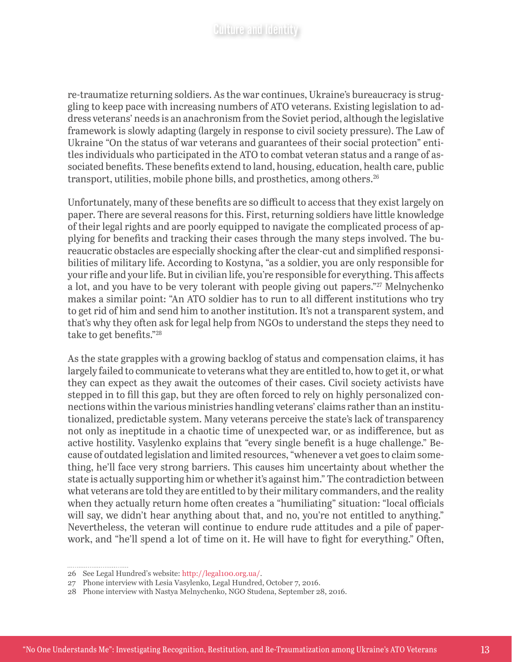re-traumatize returning soldiers. As the war continues, Ukraine's bureaucracy is struggling to keep pace with increasing numbers of ATO veterans. Existing legislation to address veterans' needs is an anachronism from the Soviet period, although the legislative framework is slowly adapting (largely in response to civil society pressure). The Law of Ukraine "On the status of war veterans and guarantees of their social protection" entitles individuals who participated in the ATO to combat veteran status and a range of associated benefits. These benefits extend to land, housing, education, health care, public transport, utilities, mobile phone bills, and prosthetics, among others.<sup>26</sup>

Unfortunately, many of these benefits are so difficult to access that they exist largely on paper. There are several reasons for this. First, returning soldiers have little knowledge of their legal rights and are poorly equipped to navigate the complicated process of applying for benefits and tracking their cases through the many steps involved. The bureaucratic obstacles are especially shocking after the clear-cut and simplified responsibilities of military life. According to Kostyna, "as a soldier, you are only responsible for your rifle and your life. But in civilian life, you're responsible for everything. This affects a lot, and you have to be very tolerant with people giving out papers."<sup>27</sup> Melnychenko makes a similar point: "An ATO soldier has to run to all different institutions who try to get rid of him and send him to another institution. It's not a transparent system, and that's why they often ask for legal help from NGOs to understand the steps they need to take to get benefits."28

As the state grapples with a growing backlog of status and compensation claims, it has largely failed to communicate to veterans what they are entitled to, how to get it, or what they can expect as they await the outcomes of their cases. Civil society activists have stepped in to fill this gap, but they are often forced to rely on highly personalized connections within the various ministries handling veterans' claims rather than an institutionalized, predictable system. Many veterans perceive the state's lack of transparency not only as ineptitude in a chaotic time of unexpected war, or as indifference, but as active hostility. Vasylenko explains that "every single benefit is a huge challenge." Because of outdated legislation and limited resources, "whenever a vet goes to claim something, he'll face very strong barriers. This causes him uncertainty about whether the state is actually supporting him or whether it's against him." The contradiction between what veterans are told they are entitled to by their military commanders, and the reality when they actually return home often creates a "humiliating" situation: "local officials will say, we didn't hear anything about that, and no, you're not entitled to anything." Nevertheless, the veteran will continue to endure rude attitudes and a pile of paperwork, and "he'll spend a lot of time on it. He will have to fight for everything." Often,

<sup>26</sup> See Legal Hundred's website: http://legal100.org.ua/.

<sup>27</sup> Phone interview with Lesia Vasylenko, Legal Hundred, October 7, 2016.

<sup>28</sup> Phone interview with Nastya Melnychenko, NGO Studena, September 28, 2016.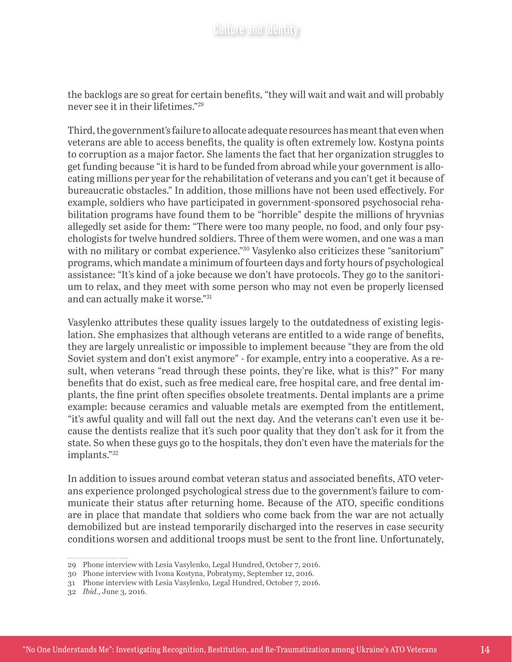the backlogs are so great for certain benefits, "they will wait and wait and will probably never see it in their lifetimes."29

Third, the government's failure to allocate adequate resources has meant that even when veterans are able to access benefits, the quality is often extremely low. Kostyna points to corruption as a major factor. She laments the fact that her organization struggles to get funding because "it is hard to be funded from abroad while your government is allocating millions per year for the rehabilitation of veterans and you can't get it because of bureaucratic obstacles." In addition, those millions have not been used effectively. For example, soldiers who have participated in government-sponsored psychosocial rehabilitation programs have found them to be "horrible" despite the millions of hryvnias allegedly set aside for them: "There were too many people, no food, and only four psychologists for twelve hundred soldiers. Three of them were women, and one was a man with no military or combat experience."<sup>30</sup> Vasylenko also criticizes these "sanitorium" programs, which mandate a minimum of fourteen days and forty hours of psychological assistance: "It's kind of a joke because we don't have protocols. They go to the sanitorium to relax, and they meet with some person who may not even be properly licensed and can actually make it worse."31

Vasylenko attributes these quality issues largely to the outdatedness of existing legislation. She emphasizes that although veterans are entitled to a wide range of benefits, they are largely unrealistic or impossible to implement because "they are from the old Soviet system and don't exist anymore" - for example, entry into a cooperative. As a result, when veterans "read through these points, they're like, what is this?" For many benefits that do exist, such as free medical care, free hospital care, and free dental implants, the fine print often specifies obsolete treatments. Dental implants are a prime example: because ceramics and valuable metals are exempted from the entitlement, "it's awful quality and will fall out the next day. And the veterans can't even use it because the dentists realize that it's such poor quality that they don't ask for it from the state. So when these guys go to the hospitals, they don't even have the materials for the implants."32

In addition to issues around combat veteran status and associated benefits, ATO veterans experience prolonged psychological stress due to the government's failure to communicate their status after returning home. Because of the ATO, specific conditions are in place that mandate that soldiers who come back from the war are not actually demobilized but are instead temporarily discharged into the reserves in case security conditions worsen and additional troops must be sent to the front line. Unfortunately,

<sup>29</sup> Phone interview with Lesia Vasylenko, Legal Hundred, October 7, 2016.

<sup>30</sup> Phone interview with Ivona Kostyna, Pobratymy, September 12, 2016.

<sup>31</sup> Phone interview with Lesia Vasylenko, Legal Hundred, October 7, 2016.

<sup>32</sup> *Ibid*., June 3, 2016.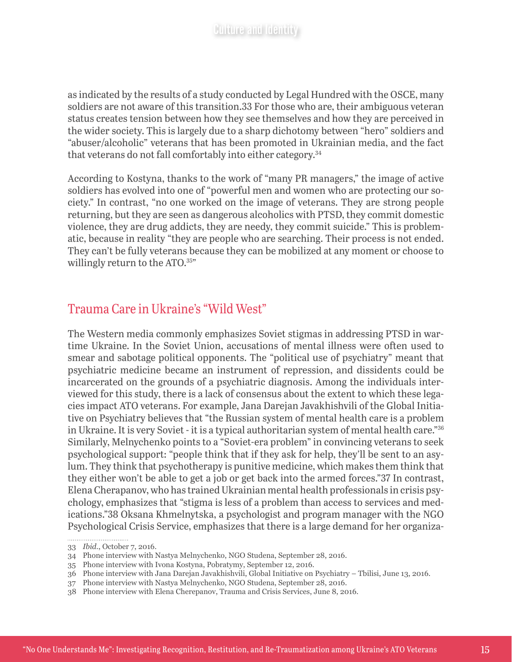as indicated by the results of a study conducted by Legal Hundred with the OSCE, many soldiers are not aware of this transition.33 For those who are, their ambiguous veteran status creates tension between how they see themselves and how they are perceived in the wider society. This is largely due to a sharp dichotomy between "hero" soldiers and "abuser/alcoholic" veterans that has been promoted in Ukrainian media, and the fact that veterans do not fall comfortably into either category.<sup>34</sup>

According to Kostyna, thanks to the work of "many PR managers," the image of active soldiers has evolved into one of "powerful men and women who are protecting our society." In contrast, "no one worked on the image of veterans. They are strong people returning, but they are seen as dangerous alcoholics with PTSD, they commit domestic violence, they are drug addicts, they are needy, they commit suicide." This is problematic, because in reality "they are people who are searching. Their process is not ended. They can't be fully veterans because they can be mobilized at any moment or choose to willingly return to the ATO.<sup>35"</sup>

# Trauma Care in Ukraine's "Wild West"

The Western media commonly emphasizes Soviet stigmas in addressing PTSD in wartime Ukraine. In the Soviet Union, accusations of mental illness were often used to smear and sabotage political opponents. The "political use of psychiatry" meant that psychiatric medicine became an instrument of repression, and dissidents could be incarcerated on the grounds of a psychiatric diagnosis. Among the individuals interviewed for this study, there is a lack of consensus about the extent to which these legacies impact ATO veterans. For example, Jana Darejan Javakhishvili of the Global Initiative on Psychiatry believes that "the Russian system of mental health care is a problem in Ukraine. It is very Soviet - it is a typical authoritarian system of mental health care."36 Similarly, Melnychenko points to a "Soviet-era problem" in convincing veterans to seek psychological support: "people think that if they ask for help, they'll be sent to an asylum. They think that psychotherapy is punitive medicine, which makes them think that they either won't be able to get a job or get back into the armed forces."37 In contrast, Elena Cherapanov, who has trained Ukrainian mental health professionals in crisis psychology, emphasizes that "stigma is less of a problem than access to services and medications."38 Oksana Khmelnytska, a psychologist and program manager with the NGO Psychological Crisis Service, emphasizes that there is a large demand for her organiza-

<sup>33</sup> *Ibid*., October 7, 2016.

<sup>34</sup> Phone interview with Nastya Melnychenko, NGO Studena, September 28, 2016.

<sup>35</sup> Phone interview with Ivona Kostyna, Pobratymy, September 12, 2016.

<sup>36</sup> Phone interview with Jana Darejan Javakhishvili, Global Initiative on Psychiatry – Tbilisi, June 13, 2016.

<sup>37</sup> Phone interview with Nastya Melnychenko, NGO Studena, September 28, 2016.

<sup>38</sup> Phone interview with Elena Cherepanov, Trauma and Crisis Services, June 8, 2016.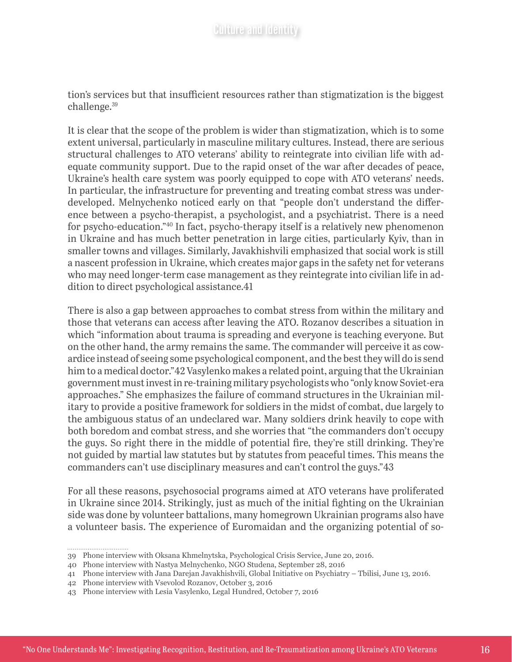tion's services but that insufficient resources rather than stigmatization is the biggest challenge.39

It is clear that the scope of the problem is wider than stigmatization, which is to some extent universal, particularly in masculine military cultures. Instead, there are serious structural challenges to ATO veterans' ability to reintegrate into civilian life with adequate community support. Due to the rapid onset of the war after decades of peace, Ukraine's health care system was poorly equipped to cope with ATO veterans' needs. In particular, the infrastructure for preventing and treating combat stress was underdeveloped. Melnychenko noticed early on that "people don't understand the difference between a psycho-therapist, a psychologist, and a psychiatrist. There is a need for psycho-education."40 In fact, psycho-therapy itself is a relatively new phenomenon in Ukraine and has much better penetration in large cities, particularly Kyiv, than in smaller towns and villages. Similarly, Javakhishvili emphasized that social work is still a nascent profession in Ukraine, which creates major gaps in the safety net for veterans who may need longer-term case management as they reintegrate into civilian life in addition to direct psychological assistance.41

There is also a gap between approaches to combat stress from within the military and those that veterans can access after leaving the ATO. Rozanov describes a situation in which "information about trauma is spreading and everyone is teaching everyone. But on the other hand, the army remains the same. The commander will perceive it as cowardice instead of seeing some psychological component, and the best they will do is send him to a medical doctor."42 Vasylenko makes a related point, arguing that the Ukrainian government must invest in re-training military psychologists who "only know Soviet-era approaches." She emphasizes the failure of command structures in the Ukrainian military to provide a positive framework for soldiers in the midst of combat, due largely to the ambiguous status of an undeclared war. Many soldiers drink heavily to cope with both boredom and combat stress, and she worries that "the commanders don't occupy the guys. So right there in the middle of potential fire, they're still drinking. They're not guided by martial law statutes but by statutes from peaceful times. This means the commanders can't use disciplinary measures and can't control the guys."43

For all these reasons, psychosocial programs aimed at ATO veterans have proliferated in Ukraine since 2014. Strikingly, just as much of the initial fighting on the Ukrainian side was done by volunteer battalions, many homegrown Ukrainian programs also have a volunteer basis. The experience of Euromaidan and the organizing potential of so-

<sup>39</sup> Phone interview with Oksana Khmelnytska, Psychological Crisis Service, June 20, 2016.

<sup>40</sup> Phone interview with Nastya Melnychenko, NGO Studena, September 28, 2016

<sup>41</sup> Phone interview with Jana Darejan Javakhishvili, Global Initiative on Psychiatry – Tbilisi, June 13, 2016.

<sup>42</sup> Phone interview with Vsevolod Rozanov, October 3, 2016

<sup>43</sup> Phone interview with Lesia Vasylenko, Legal Hundred, October 7, 2016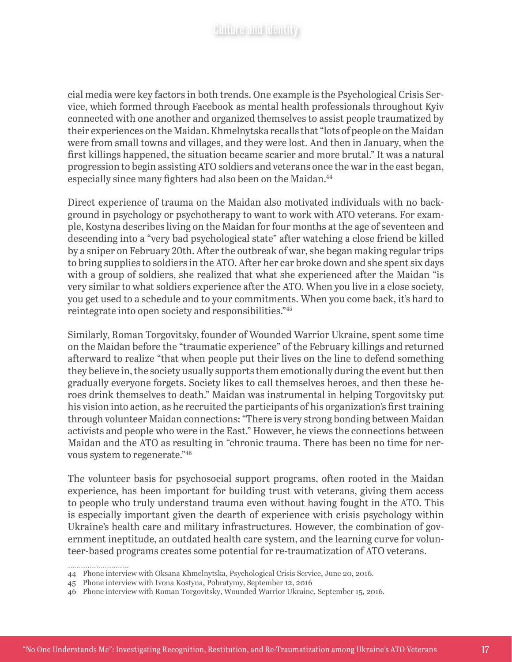cial media were key factors in both trends. One example is the Psychological Crisis Service, which formed through Facebook as mental health professionals throughout Kyiv connected with one another and organized themselves to assist people traumatized by their experiences on the Maidan. Khmelnytska recalls that "lots of people on the Maidan were from small towns and villages, and they were lost. And then in January, when the first killings happened, the situation became scarier and more brutal." It was a natural progression to begin assisting ATO soldiers and veterans once the war in the east began, especially since many fighters had also been on the Maidan.<sup>44</sup>

Direct experience of trauma on the Maidan also motivated individuals with no background in psychology or psychotherapy to want to work with ATO veterans. For example, Kostyna describes living on the Maidan for four months at the age of seventeen and descending into a "very bad psychological state" after watching a close friend be killed by a sniper on February 20th. After the outbreak of war, she began making regular trips to bring supplies to soldiers in the ATO. After her car broke down and she spent six days with a group of soldiers, she realized that what she experienced after the Maidan "is very similar to what soldiers experience after the ATO. When you live in a close society, you get used to a schedule and to your commitments. When you come back, it's hard to reintegrate into open society and responsibilities."45

Similarly, Roman Torgovitsky, founder of Wounded Warrior Ukraine, spent some time on the Maidan before the "traumatic experience" of the February killings and returned afterward to realize "that when people put their lives on the line to defend something they believe in, the society usually supports them emotionally during the event but then gradually everyone forgets. Society likes to call themselves heroes, and then these heroes drink themselves to death." Maidan was instrumental in helping Torgovitsky put his vision into action, as he recruited the participants of his organization's first training through volunteer Maidan connections: "There is very strong bonding between Maidan activists and people who were in the East." However, he views the connections between Maidan and the ATO as resulting in "chronic trauma. There has been no time for nervous system to regenerate."46

The volunteer basis for psychosocial support programs, often rooted in the Maidan experience, has been important for building trust with veterans, giving them access to people who truly understand trauma even without having fought in the ATO. This is especially important given the dearth of experience with crisis psychology within Ukraine's health care and military infrastructures. However, the combination of government ineptitude, an outdated health care system, and the learning curve for volunteer-based programs creates some potential for re-traumatization of ATO veterans.

<sup>44</sup> Phone interview with Oksana Khmelnytska, Psychological Crisis Service, June 20, 2016.

<sup>45</sup> Phone interview with Ivona Kostyna, Pobratymy, September 12, 2016

<sup>46</sup> Phone interview with Roman Torgovitsky, Wounded Warrior Ukraine, September 15, 2016.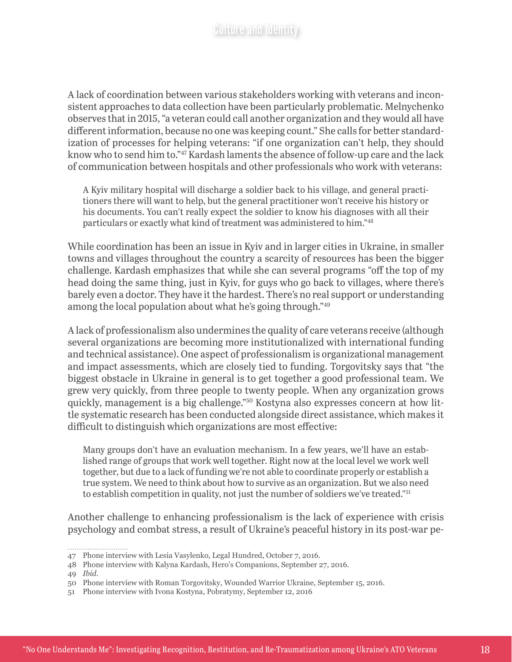A lack of coordination between various stakeholders working with veterans and inconsistent approaches to data collection have been particularly problematic. Melnychenko observes that in 2015, "a veteran could call another organization and they would all have different information, because no one was keeping count." She calls for better standardization of processes for helping veterans: "if one organization can't help, they should know who to send him to."47 Kardash laments the absence of follow-up care and the lack of communication between hospitals and other professionals who work with veterans:

A Kyiv military hospital will discharge a soldier back to his village, and general practitioners there will want to help, but the general practitioner won't receive his history or his documents. You can't really expect the soldier to know his diagnoses with all their particulars or exactly what kind of treatment was administered to him."48

While coordination has been an issue in Kyiv and in larger cities in Ukraine, in smaller towns and villages throughout the country a scarcity of resources has been the bigger challenge. Kardash emphasizes that while she can several programs "off the top of my head doing the same thing, just in Kyiv, for guys who go back to villages, where there's barely even a doctor. They have it the hardest. There's no real support or understanding among the local population about what he's going through."49

A lack of professionalism also undermines the quality of care veterans receive (although several organizations are becoming more institutionalized with international funding and technical assistance). One aspect of professionalism is organizational management and impact assessments, which are closely tied to funding. Torgovitsky says that "the biggest obstacle in Ukraine in general is to get together a good professional team. We grew very quickly, from three people to twenty people. When any organization grows quickly, management is a big challenge."50 Kostyna also expresses concern at how little systematic research has been conducted alongside direct assistance, which makes it difficult to distinguish which organizations are most effective:

Many groups don't have an evaluation mechanism. In a few years, we'll have an established range of groups that work well together. Right now at the local level we work well together, but due to a lack of funding we're not able to coordinate properly or establish a true system. We need to think about how to survive as an organization. But we also need to establish competition in quality, not just the number of soldiers we've treated."51

Another challenge to enhancing professionalism is the lack of experience with crisis psychology and combat stress, a result of Ukraine's peaceful history in its post-war pe-

................................

<sup>47</sup> Phone interview with Lesia Vasylenko, Legal Hundred, October 7, 2016.

<sup>48</sup> Phone interview with Kalyna Kardash, Hero's Companions, September 27, 2016.

<sup>49</sup> *Ibid*.

<sup>50</sup> Phone interview with Roman Torgovitsky, Wounded Warrior Ukraine, September 15, 2016.

<sup>51</sup> Phone interview with Ivona Kostyna, Pobratymy, September 12, 2016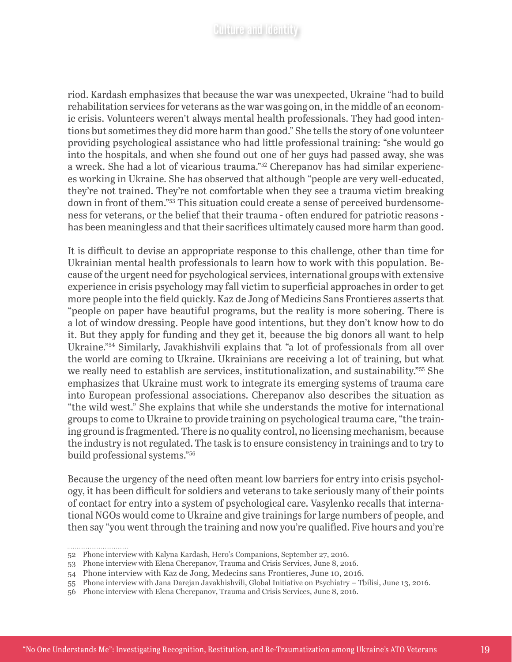riod. Kardash emphasizes that because the war was unexpected, Ukraine "had to build rehabilitation services for veterans as the war was going on, in the middle of an economic crisis. Volunteers weren't always mental health professionals. They had good intentions but sometimes they did more harm than good." She tells the story of one volunteer providing psychological assistance who had little professional training: "she would go into the hospitals, and when she found out one of her guys had passed away, she was a wreck. She had a lot of vicarious trauma."52 Cherepanov has had similar experiences working in Ukraine. She has observed that although "people are very well-educated, they're not trained. They're not comfortable when they see a trauma victim breaking down in front of them."53 This situation could create a sense of perceived burdensomeness for veterans, or the belief that their trauma - often endured for patriotic reasons has been meaningless and that their sacrifices ultimately caused more harm than good.

It is difficult to devise an appropriate response to this challenge, other than time for Ukrainian mental health professionals to learn how to work with this population. Because of the urgent need for psychological services, international groups with extensive experience in crisis psychology may fall victim to superficial approaches in order to get more people into the field quickly. Kaz de Jong of Medicins Sans Frontieres asserts that "people on paper have beautiful programs, but the reality is more sobering. There is a lot of window dressing. People have good intentions, but they don't know how to do it. But they apply for funding and they get it, because the big donors all want to help Ukraine."54 Similarly, Javakhishvili explains that "a lot of professionals from all over the world are coming to Ukraine. Ukrainians are receiving a lot of training, but what we really need to establish are services, institutionalization, and sustainability."<sup>55</sup> She emphasizes that Ukraine must work to integrate its emerging systems of trauma care into European professional associations. Cherepanov also describes the situation as "the wild west." She explains that while she understands the motive for international groups to come to Ukraine to provide training on psychological trauma care, "the training ground is fragmented. There is no quality control, no licensing mechanism, because the industry is not regulated. The task is to ensure consistency in trainings and to try to build professional systems."56

Because the urgency of the need often meant low barriers for entry into crisis psychology, it has been difficult for soldiers and veterans to take seriously many of their points of contact for entry into a system of psychological care. Vasylenko recalls that international NGOs would come to Ukraine and give trainings for large numbers of people, and then say "you went through the training and now you're qualified. Five hours and you're

<sup>52</sup> Phone interview with Kalyna Kardash, Hero's Companions, September 27, 2016.

<sup>53</sup> Phone interview with Elena Cherepanov, Trauma and Crisis Services, June 8, 2016.

<sup>54</sup> Phone interview with Kaz de Jong, Medecins sans Frontieres, June 10, 2016.

<sup>55</sup> Phone interview with Jana Darejan Javakhishvili, Global Initiative on Psychiatry – Tbilisi, June 13, 2016.

<sup>56</sup> Phone interview with Elena Cherepanov, Trauma and Crisis Services, June 8, 2016.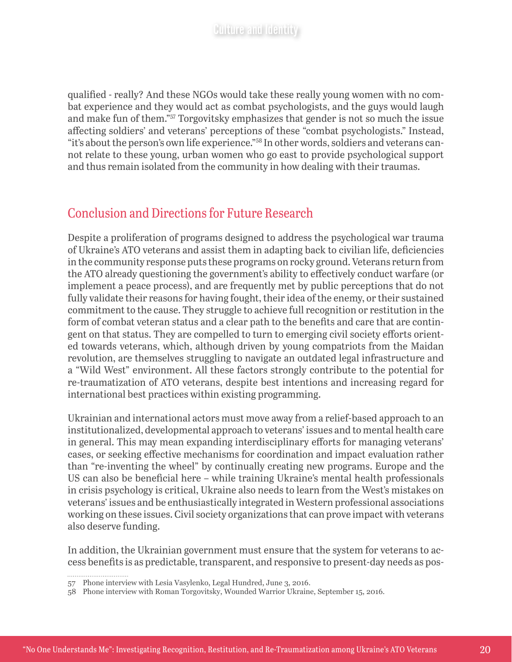qualified - really? And these NGOs would take these really young women with no combat experience and they would act as combat psychologists, and the guys would laugh and make fun of them."57 Torgovitsky emphasizes that gender is not so much the issue affecting soldiers' and veterans' perceptions of these "combat psychologists." Instead, "it's about the person's own life experience."58 In other words, soldiers and veterans cannot relate to these young, urban women who go east to provide psychological support and thus remain isolated from the community in how dealing with their traumas.

# Conclusion and Directions for Future Research

Despite a proliferation of programs designed to address the psychological war trauma of Ukraine's ATO veterans and assist them in adapting back to civilian life, deficiencies in the community response puts these programs on rocky ground. Veterans return from the ATO already questioning the government's ability to effectively conduct warfare (or implement a peace process), and are frequently met by public perceptions that do not fully validate their reasons for having fought, their idea of the enemy, or their sustained commitment to the cause. They struggle to achieve full recognition or restitution in the form of combat veteran status and a clear path to the benefits and care that are contingent on that status. They are compelled to turn to emerging civil society efforts oriented towards veterans, which, although driven by young compatriots from the Maidan revolution, are themselves struggling to navigate an outdated legal infrastructure and a "Wild West" environment. All these factors strongly contribute to the potential for re-traumatization of ATO veterans, despite best intentions and increasing regard for international best practices within existing programming.

Ukrainian and international actors must move away from a relief-based approach to an institutionalized, developmental approach to veterans' issues and to mental health care in general. This may mean expanding interdisciplinary efforts for managing veterans' cases, or seeking effective mechanisms for coordination and impact evaluation rather than "re-inventing the wheel" by continually creating new programs. Europe and the US can also be beneficial here – while training Ukraine's mental health professionals in crisis psychology is critical, Ukraine also needs to learn from the West's mistakes on veterans' issues and be enthusiastically integrated in Western professional associations working on these issues. Civil society organizations that can prove impact with veterans also deserve funding.

In addition, the Ukrainian government must ensure that the system for veterans to access benefits is as predictable, transparent, and responsive to present-day needs as pos-

<sup>57</sup> Phone interview with Lesia Vasylenko, Legal Hundred, June 3, 2016.

<sup>58</sup> Phone interview with Roman Torgovitsky, Wounded Warrior Ukraine, September 15, 2016.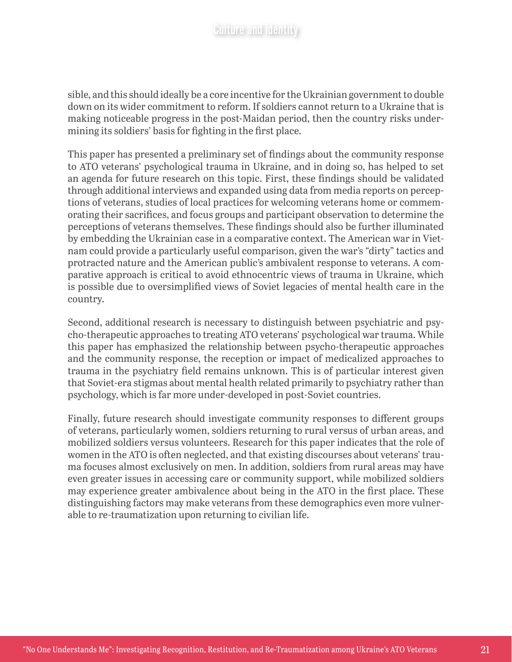sible, and this should ideally be a core incentive for the Ukrainian government to double down on its wider commitment to reform. If soldiers cannot return to a Ukraine that is making noticeable progress in the post-Maidan period, then the country risks undermining its soldiers' basis for fighting in the first place.

This paper has presented a preliminary set of findings about the community response to ATO veterans' psychological trauma in Ukraine, and in doing so, has helped to set an agenda for future research on this topic. First, these findings should be validated through additional interviews and expanded using data from media reports on perceptions of veterans, studies of local practices for welcoming veterans home or commemorating their sacrifices, and focus groups and participant observation to determine the perceptions of veterans themselves. These findings should also be further illuminated by embedding the Ukrainian case in a comparative context. The American war in Vietnam could provide a particularly useful comparison, given the war's "dirty" tactics and protracted nature and the American public's ambivalent response to veterans. A comparative approach is critical to avoid ethnocentric views of trauma in Ukraine, which is possible due to oversimplified views of Soviet legacies of mental health care in the country.

Second, additional research is necessary to distinguish between psychiatric and psycho-therapeutic approaches to treating ATO veterans' psychological war trauma. While this paper has emphasized the relationship between psycho-therapeutic approaches and the community response, the reception or impact of medicalized approaches to trauma in the psychiatry field remains unknown. This is of particular interest given that Soviet-era stigmas about mental health related primarily to psychiatry rather than psychology, which is far more under-developed in post-Soviet countries.

Finally, future research should investigate community responses to different groups of veterans, particularly women, soldiers returning to rural versus of urban areas, and mobilized soldiers versus volunteers. Research for this paper indicates that the role of women in the ATO is often neglected, and that existing discourses about veterans' trauma focuses almost exclusively on men. In addition, soldiers from rural areas may have even greater issues in accessing care or community support, while mobilized soldiers may experience greater ambivalence about being in the ATO in the first place. These distinguishing factors may make veterans from these demographics even more vulnerable to re-traumatization upon returning to civilian life.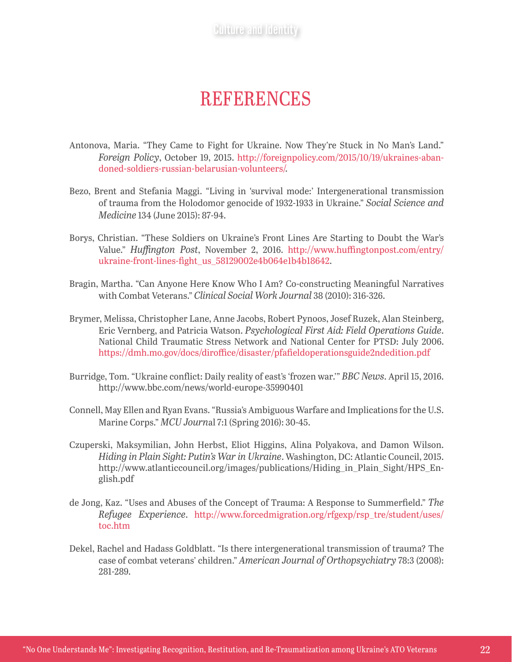# **REFERENCES**

- Antonova, Maria. "They Came to Fight for Ukraine. Now They're Stuck in No Man's Land." *Foreign Policy*, October 19, 2015. [http://foreignpolicy.com/2015/10/19/ukraines-aban](http://foreignpolicy.com/2015/10/19/ukraines-abandoned-soldiers-russian-belarusian-volunteers/)[doned-soldiers-russian-belarusian-volunteers/](http://foreignpolicy.com/2015/10/19/ukraines-abandoned-soldiers-russian-belarusian-volunteers/).
- Bezo, Brent and Stefania Maggi. "Living in 'survival mode:' Intergenerational transmission of trauma from the Holodomor genocide of 1932-1933 in Ukraine." *Social Science and Medicine* 134 (June 2015): 87-94.
- Borys, Christian. "These Soldiers on Ukraine's Front Lines Are Starting to Doubt the War's Value." *Huffington Post*, November 2, 2016. [http://www.huffingtonpost.com/entry/](http://www.huffingtonpost.com/entry/ukraine-front-lines-fight_us_58129002e4b064e1b4b18642) [ukraine-front-lines-fight\\_us\\_58129002e4b064e1b4b18642](http://www.huffingtonpost.com/entry/ukraine-front-lines-fight_us_58129002e4b064e1b4b18642).
- Bragin, Martha. "Can Anyone Here Know Who I Am? Co-constructing Meaningful Narratives with Combat Veterans." *Clinical Social Work Journal* 38 (2010): 316-326.
- Brymer, Melissa, Christopher Lane, Anne Jacobs, Robert Pynoos, Josef Ruzek, Alan Steinberg, Eric Vernberg, and Patricia Watson. *Psychological First Aid: Field Operations Guide*. National Child Traumatic Stress Network and National Center for PTSD: July 2006. <https://dmh.mo.gov/docs/diroffice/disaster/pfafieldoperationsguide2ndedition.pdf>
- Burridge, Tom. "Ukraine conflict: Daily reality of east's 'frozen war.'" *BBC News*. April 15, 2016. <http://www.bbc.com/news/world-europe-35990401>
- Connell, May Ellen and Ryan Evans. "Russia's Ambiguous Warfare and Implications for the U.S. Marine Corps." *MCU Journ*al 7:1 (Spring 2016): 30-45.
- Czuperski, Maksymilian, John Herbst, Eliot Higgins, Alina Polyakova, and Damon Wilson. *Hiding in Plain Sight: Putin's War in Ukraine*. Washington, DC: Atlantic Council, 2015. http://www.atlanticcouncil.org/images/publications/Hiding\_in\_Plain\_Sight/HPS\_English.pdf
- de Jong, Kaz. "Uses and Abuses of the Concept of Trauma: A Response to Summerfield." *The Refugee Experience*. [http://www.forcedmigration.org/rfgexp/rsp\\_tre/student/uses/](http://www.forcedmigration.org/rfgexp/rsp_tre/student/uses/toc.htm) [toc.htm](http://www.forcedmigration.org/rfgexp/rsp_tre/student/uses/toc.htm)
- Dekel, Rachel and Hadass Goldblatt. "Is there intergenerational transmission of trauma? The case of combat veterans' children." *American Journal of Orthopsychiatry* 78:3 (2008): 281-289.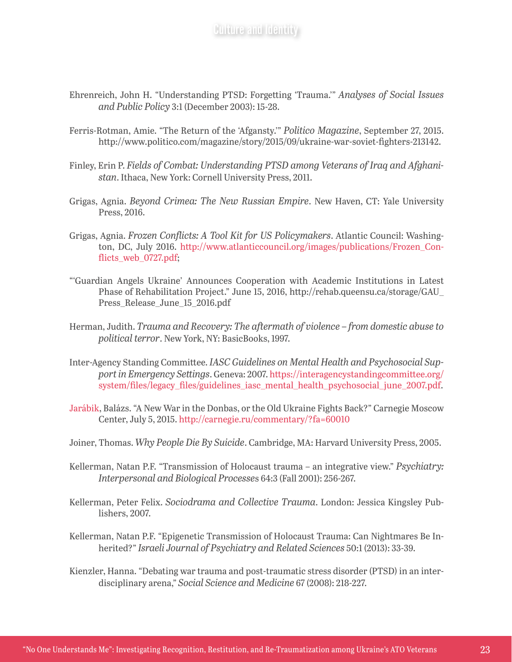- Ehrenreich, John H. "Understanding PTSD: Forgetting 'Trauma.'" *Analyses of Social Issues and Public Policy* 3:1 (December 2003): 15-28.
- Ferris-Rotman, Amie. "The Return of the 'Afgansty.'" *Politico Magazine*, September 27, 2015. [http://www.politico.com/magazine/story/2015/09/ukraine-war-soviet-fighters-213142.](http://www.politico.com/magazine/story/2015/09/ukraine-war-soviet-fighters-213142)
- Finley, Erin P. *Fields of Combat: Understanding PTSD among Veterans of Iraq and Afghanistan*. Ithaca, New York: Cornell University Press, 2011.
- Grigas, Agnia. *Beyond Crimea: The New Russian Empire*. New Haven, CT: Yale University Press, 2016.
- Grigas, Agnia. *Frozen Conflicts: A Tool Kit for US Policymakers*. Atlantic Council: Washington, DC, July 2016. [http://www.atlanticcouncil.org/images/publications/Frozen\\_Con](http://www.atlanticcouncil.org/images/publications/Frozen_Conflicts_web_0727.pdf)[flicts\\_web\\_0727.pdf](http://www.atlanticcouncil.org/images/publications/Frozen_Conflicts_web_0727.pdf);
- "'Guardian Angels Ukraine' Announces Cooperation with Academic Institutions in Latest Phase of Rehabilitation Project." June 15, 2016, http://rehab.queensu.ca/storage/GAU\_ Press\_Release\_June\_15\_2016.pdf
- Herman, Judith. *Trauma and Recovery: The aftermath of violence from domestic abuse to political terror*. New York, NY: BasicBooks, 1997.
- Inter-Agency Standing Committee. *IASC Guidelines on Mental Health and Psychosocial Support in Emergency Settings*. Geneva: 2007. [https://interagencystandingcommittee.org/](https://interagencystandingcommittee.org/system/files/legacy_files/guidelines_iasc_mental_health_psychosocial_june_2007.pdf) [system/files/legacy\\_files/guidelines\\_iasc\\_mental\\_health\\_psychosocial\\_june\\_2007.pdf](https://interagencystandingcommittee.org/system/files/legacy_files/guidelines_iasc_mental_health_psychosocial_june_2007.pdf).
- [Jarábik,](http://carnegieendowment.org/experts/?fa=935) Balázs. "A New War in the Donbas, or the Old Ukraine Fights Back?" Carnegie Moscow Center, July 5, 2015.<http://carnegie.ru/commentary/?fa=60010>
- Joiner, Thomas. *Why People Die By Suicide*. Cambridge, MA: Harvard University Press, 2005.
- Kellerman, Natan P.F. "Transmission of Holocaust trauma an integrative view." *Psychiatry: Interpersonal and Biological Processe*s 64:3 (Fall 2001): 256-267.
- Kellerman, Peter Felix. *Sociodrama and Collective Trauma*. London: Jessica Kingsley Publishers, 2007.
- Kellerman, Natan P.F. "Epigenetic Transmission of Holocaust Trauma: Can Nightmares Be Inherited?" *Israeli Journal of Psychiatry and Related Sciences* 50:1 (2013): 33-39.
- Kienzler, Hanna. "Debating war trauma and post-traumatic stress disorder (PTSD) in an interdisciplinary arena," *Social Science and Medicine* 67 (2008): 218-227.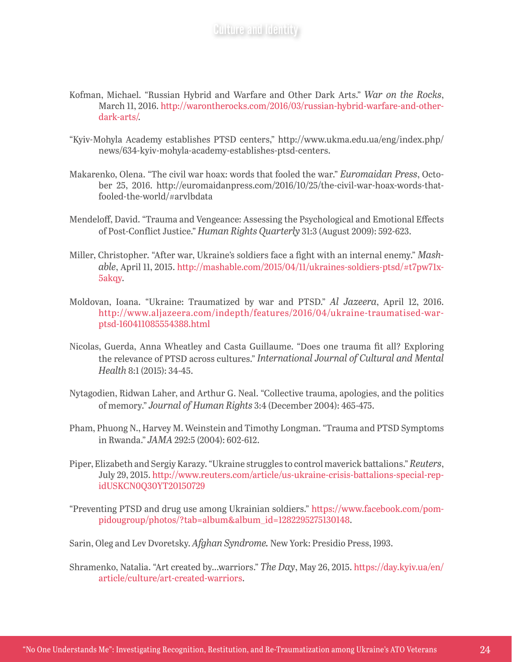- Kofman, Michael. "Russian Hybrid and Warfare and Other Dark Arts." *War on the Rocks*, March 11, 2016. [http://warontherocks.com/2016/03/russian-hybrid-warfare-and-other](http://warontherocks.com/2016/03/russian-hybrid-warfare-and-other-dark-arts/)[dark-arts/](http://warontherocks.com/2016/03/russian-hybrid-warfare-and-other-dark-arts/).
- "Kyiv-Mohyla Academy establishes PTSD centers," http://www.ukma.edu.ua/eng/index.php/ news/634-kyiv-mohyla-academy-establishes-ptsd-centers.
- Makarenko, Olena. "The civil war hoax: words that fooled the war." *Euromaidan Press*, October 25, 2016. http://euromaidanpress.com/2016/10/25/the-civil-war-hoax-words-thatfooled-the-world/#arvlbdata
- Mendeloff, David. "Trauma and Vengeance: Assessing the Psychological and Emotional Effects of Post-Conflict Justice." *Human Rights Quarterly* 31:3 (August 2009): 592-623.
- Miller, Christopher. "After war, Ukraine's soldiers face a fight with an internal enemy." *Mashable*, April 11, 2015. http://mashable.com/2015/04/11/ukraines-soldiers-ptsd/#t7pw71x-5akqy.
- Moldovan, Ioana. "Ukraine: Traumatized by war and PTSD." *Al Jazeera*, April 12, 2016. [http://www.aljazeera.com/indepth/features/2016/04/ukraine-traumatised-war](http://www.aljazeera.com/indepth/features/2016/04/ukraine-traumatised-war-ptsd-160411085554388.html)[ptsd-160411085554388.html](http://www.aljazeera.com/indepth/features/2016/04/ukraine-traumatised-war-ptsd-160411085554388.html)
- Nicolas, Guerda, Anna Wheatley and Casta Guillaume. "Does one trauma fit all? Exploring the relevance of PTSD across cultures." *International Journal of Cultural and Mental Health* 8:1 (2015): 34-45.
- Nytagodien, Ridwan Laher, and Arthur G. Neal. "Collective trauma, apologies, and the politics of memory." *Journal of Human Rights* 3:4 (December 2004): 465-475.
- Pham, Phuong N., Harvey M. Weinstein and Timothy Longman. "Trauma and PTSD Symptoms in Rwanda." *JAMA* 292:5 (2004): 602-612.
- Piper, Elizabeth and Sergiy Karazy. "Ukraine struggles to control maverick battalions." *Reuters*, July 29, 2015. [http://www.reuters.com/article/us-ukraine-crisis-battalions-special-rep](http://www.reuters.com/article/us-ukraine-crisis-battalions-special-rep-idUSKCN0Q30YT20150729)[idUSKCN0Q30YT20150729](http://www.reuters.com/article/us-ukraine-crisis-battalions-special-rep-idUSKCN0Q30YT20150729)
- "Preventing PTSD and drug use among Ukrainian soldiers." [https://www.facebook.com/pom](https://www.facebook.com/pompidougroup/photos/?tab=album&album_id=1282295275130148)[pidougroup/photos/?tab=album&album\\_id=1282295275130148](https://www.facebook.com/pompidougroup/photos/?tab=album&album_id=1282295275130148).

Sarin, Oleg and Lev Dvoretsky. *Afghan Syndrome.* New York: Presidio Press, 1993.

Shramenko, Natalia. "Art created by…warriors." *The Day*, May 26, 2015. [https://day.kyiv.ua/en/](https://day.kyiv.ua/en/article/culture/art-created-warriors) [article/culture/art-created-warriors.](https://day.kyiv.ua/en/article/culture/art-created-warriors)